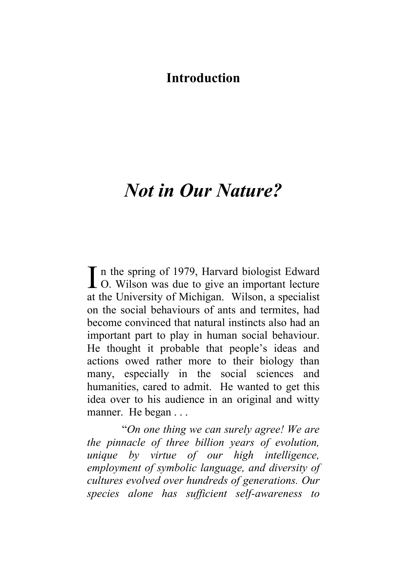## **Introduction**

## *Not in Our Nature?*

n the spring of 1979, Harvard biologist Edward  $\prod$  n the spring of 1979, Harvard biologist Edward<br>O. Wilson was due to give an important lecture at the University of Michigan. Wilson, a specialist on the social behaviours of ants and termites, had become convinced that natural instincts also had an important part to play in human social behaviour. He thought it probable that people's ideas and actions owed rather more to their biology than many, especially in the social sciences and humanities, cared to admit. He wanted to get this idea over to his audience in an original and witty manner. He began . . .

"*On one thing we can surely agree! We are the pinnacle of three billion years of evolution, unique by virtue of our high intelligence, employment of symbolic language, and diversity of cultures evolved over hundreds of generations. Our species alone has sufficient self-awareness to*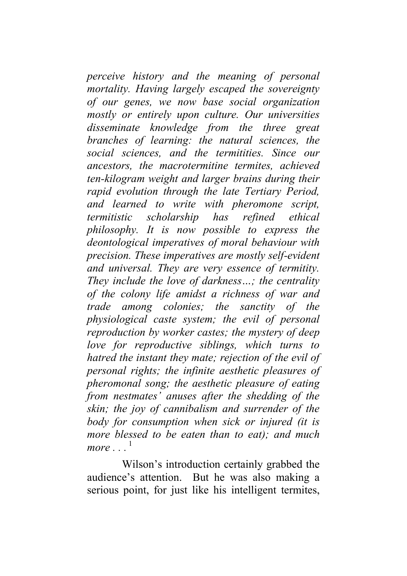*perceive history and the meaning of personal mortality. Having largely escaped the sovereignty of our genes, we now base social organization mostly or entirely upon culture. Our universities disseminate knowledge from the three great branches of learning: the natural sciences, the social sciences, and the termitities. Since our ancestors, the macrotermitine termites, achieved ten-kilogram weight and larger brains during their rapid evolution through the late Tertiary Period, and learned to write with pheromone script, termitistic scholarship has refined ethical philosophy. It is now possible to express the deontological imperatives of moral behaviour with precision. These imperatives are mostly self-evident and universal. They are very essence of termitity. They include the love of darkness…; the centrality of the colony life amidst a richness of war and trade among colonies; the sanctity of the physiological caste system; the evil of personal reproduction by worker castes; the mystery of deep love for reproductive siblings, which turns to hatred the instant they mate; rejection of the evil of personal rights; the infinite aesthetic pleasures of pheromonal song; the aesthetic pleasure of eating from nestmates' anuses after the shedding of the skin; the joy of cannibalism and surrender of the body for consumption when sick or injured (it is more blessed to be eaten than to eat); and much*  $more$ <sup>1</sup>

Wilson's introduction certainly grabbed the audience's attention. But he was also making a serious point, for just like his intelligent termites,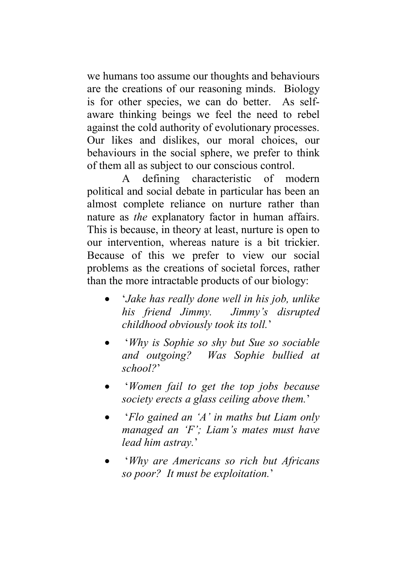we humans too assume our thoughts and behaviours are the creations of our reasoning minds. Biology is for other species, we can do better. As self aware thinking beings we feel the need to rebel against the cold authority of evolutionary processes. Our likes and dislikes, our moral choices, our behaviours in the social sphere, we prefer to think of them all as subject to our conscious control.

A defining characteristic of modern political and social debate in particular has been an almost complete reliance on nurture rather than nature as *the* explanatory factor in human affairs. This is because, in theory at least, nurture is open to our intervention, whereas nature is a bit trickier. Because of this we prefer to view our social problems as the creations of societal forces, rather than the more intractable products of our biology:

- '*Jake has really done well in his job, unlike his friend Jimmy. Jimmy's disrupted childhood obviously took its toll.*'
- '*Why is Sophie so shy but Sue so sociable and outgoing? Was Sophie bullied at school?*'
- '*Women fail to get the top jobs because society erects a glass ceiling above them.*'
- '*Flo gained an 'A' in maths but Liam only managed an 'F'; Liam's mates must have lead him astray.*'
- '*Why are Americans so rich but Africans so poor? It must be exploitation.*'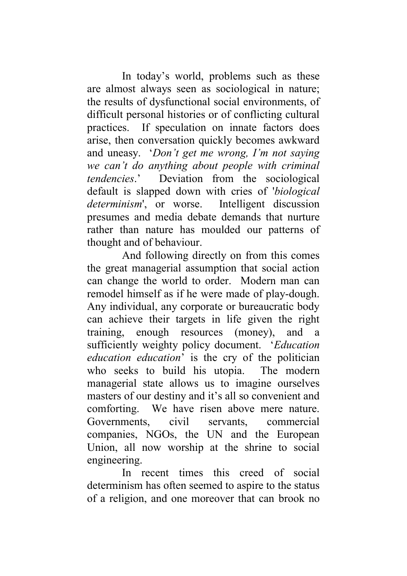In today's world, problems such as these are almost always seen as sociological in nature; the results of dysfunctional social environments, of difficult personal histories or of conflicting cultural practices. If speculation on innate factors does arise, then conversation quickly becomes awkward and uneasy. '*Don't get me wrong, I'm not saying we can't do anything about people with criminal tendencies*.' Deviation from the sociological default is slapped down with cries of '*biological determinism*', or worse. Intelligent discussion presumes and media debate demands that nurture rather than nature has moulded our patterns of thought and of behaviour.

And following directly on from this comes the great managerial assumption that social action can change the world to order. Modern man can remodel himself as if he were made of play-dough. Any individual, any corporate or bureaucratic body can achieve their targets in life given the right training, enough resources (money), and a sufficiently weighty policy document. '*Education education education*' is the cry of the politician who seeks to build his utopia. The modern managerial state allows us to imagine ourselves masters of our destiny and it's all so convenient and comforting. We have risen above mere nature. Governments, civil servants, commercial companies, NGOs, the UN and the European Union, all now worship at the shrine to social engineering.

In recent times this creed of social determinism has often seemed to aspire to the status of a religion, and one moreover that can brook no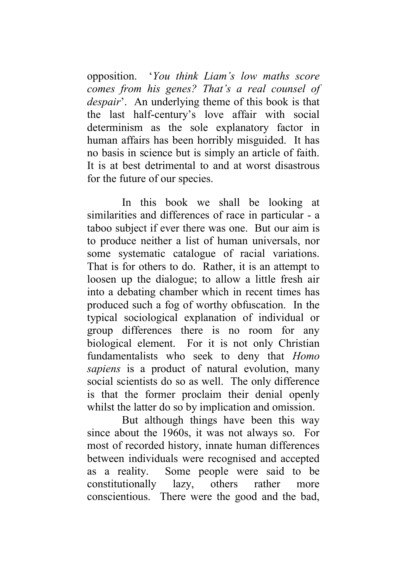opposition. '*You think Liam's low maths score comes from his genes? That's a real counsel of despair*'. An underlying theme of this book is that the last half-century's love affair with social determinism as the sole explanatory factor in human affairs has been horribly misguided. It has no basis in science but is simply an article of faith. It is at best detrimental to and at worst disastrous for the future of our species.

In this book we shall be looking at similarities and differences of race in particular - a taboo subject if ever there was one. But our aim is to produce neither a list of human universals, nor some systematic catalogue of racial variations. That is for others to do. Rather, it is an attempt to loosen up the dialogue; to allow a little fresh air into a debating chamber which in recent times has produced such a fog of worthy obfuscation. In the typical sociological explanation of individual or group differences there is no room for any biological element. For it is not only Christian fundamentalists who seek to deny that *Homo sapiens* is a product of natural evolution, many social scientists do so as well. The only difference is that the former proclaim their denial openly whilst the latter do so by implication and omission.

But although things have been this way since about the 1960s, it was not always so. For most of recorded history, innate human differences between individuals were recognised and accepted as a reality. Some people were said to be constitutionally lazy, others rather more conscientious. There were the good and the bad,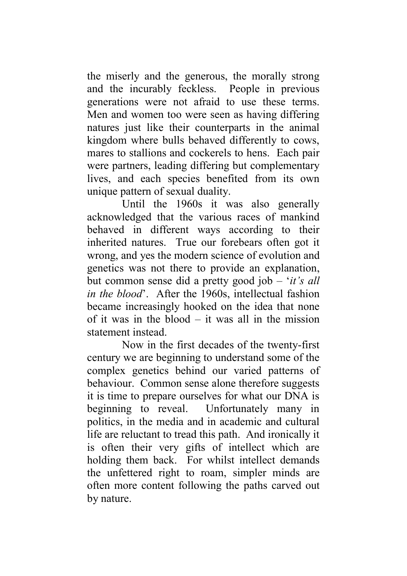the miserly and the generous, the morally strong and the incurably feckless. People in previous generations were not afraid to use these terms. Men and women too were seen as having differing natures just like their counterparts in the animal kingdom where bulls behaved differently to cows, mares to stallions and cockerels to hens. Each pair were partners, leading differing but complementary lives, and each species benefited from its own unique pattern of sexual duality.

Until the 1960s it was also generally acknowledged that the various races of mankind behaved in different ways according to their inherited natures. True our forebears often got it wrong, and yes the modern science of evolution and genetics was not there to provide an explanation, but common sense did a pretty good job – '*it's all in the blood*'. After the 1960s, intellectual fashion became increasingly hooked on the idea that none of it was in the blood – it was all in the mission statement instead.

Now in the first decades of the twenty-first century we are beginning to understand some of the complex genetics behind our varied patterns of behaviour. Common sense alone therefore suggests it is time to prepare ourselves for what our DNA is beginning to reveal. Unfortunately many in politics, in the media and in academic and cultural life are reluctant to tread this path. And ironically it is often their very gifts of intellect which are holding them back. For whilst intellect demands the unfettered right to roam, simpler minds are often more content following the paths carved out by nature.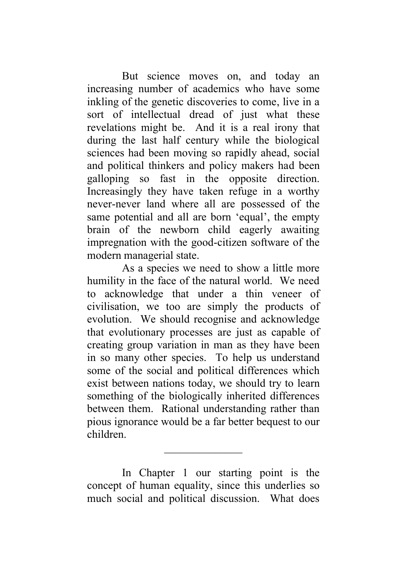But science moves on, and today an increasing number of academics who have some inkling of the genetic discoveries to come, live in a sort of intellectual dread of just what these revelations might be. And it is a real irony that during the last half century while the biological sciences had been moving so rapidly ahead, social and political thinkers and policy makers had been galloping so fast in the opposite direction. Increasingly they have taken refuge in a worthy never-never land where all are possessed of the same potential and all are born 'equal', the empty brain of the newborn child eagerly awaiting impregnation with the good-citizen software of the modern managerial state.

As a species we need to show a little more humility in the face of the natural world. We need to acknowledge that under a thin veneer of civilisation, we too are simply the products of evolution. We should recognise and acknowledge that evolutionary processes are just as capable of creating group variation in man as they have been in so many other species. To help us understand some of the social and political differences which exist between nations today, we should try to learn something of the biologically inherited differences between them. Rational understanding rather than pious ignorance would be a far better bequest to our children.

In Chapter 1 our starting point is the concept of human equality, since this underlies so much social and political discussion. What does

 $\overline{\phantom{a}}$  , we can also the contract of  $\overline{\phantom{a}}$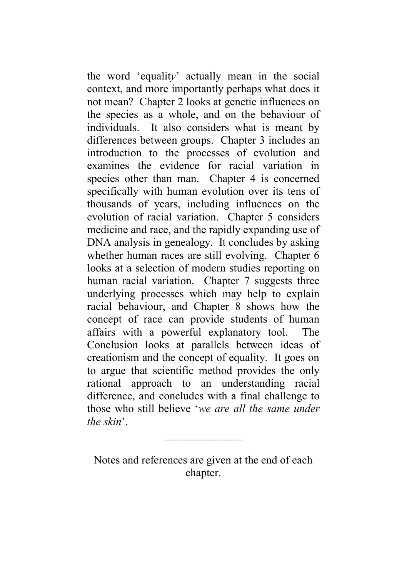the word 'equalit*y*' actually mean in the social context, and more importantly perhaps what does it not mean? Chapter 2 looks at genetic influences on the species as a whole, and on the behaviour of individuals. It also considers what is meant by differences between groups. Chapter 3 includes an introduction to the processes of evolution and examines the evidence for racial variation in species other than man. Chapter 4 is concerned specifically with human evolution over its tens of thousands of years, including influences on the evolution of racial variation. Chapter 5 considers medicine and race, and the rapidly expanding use of DNA analysis in genealogy. It concludes by asking whether human races are still evolving. Chapter 6 looks at a selection of modern studies reporting on human racial variation. Chapter 7 suggests three underlying processes which may help to explain racial behaviour, and Chapter 8 shows how the concept of race can provide students of human affairs with a powerful explanatory tool. The Conclusion looks at parallels between ideas of creationism and the concept of equality. It goes on to argue that scientific method provides the only rational approach to an understanding racial difference, and concludes with a final challenge to those who still believe '*we are all the same under the skin*'.

Notes and references are given at the end of each chapter.

 $\overline{\phantom{a}}$  , we can also the contract of  $\overline{\phantom{a}}$